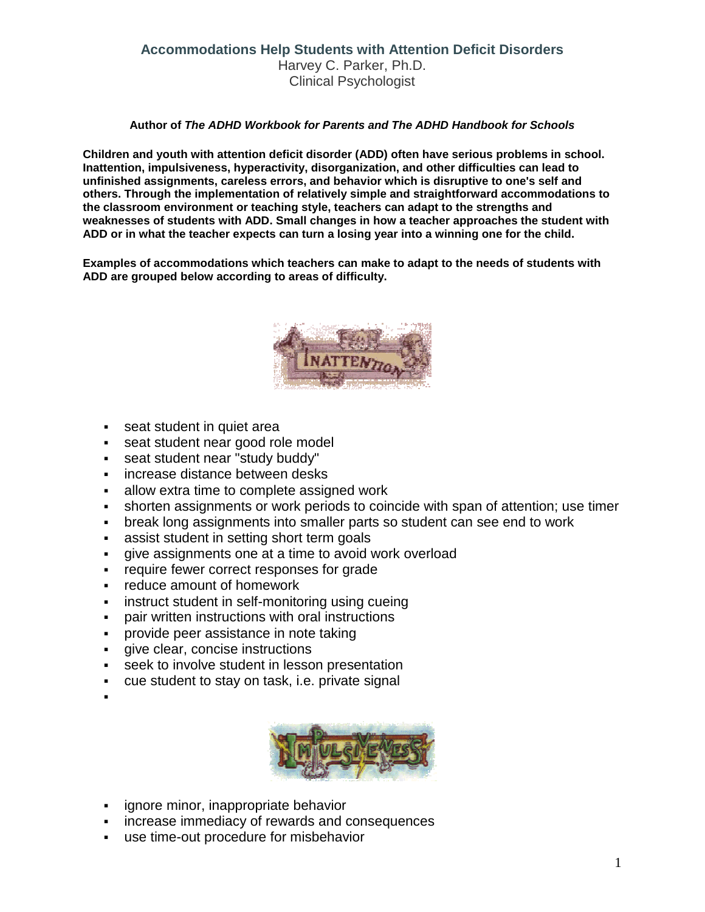## **Accommodations Help Students with Attention Deficit Disorders** Harvey C. Parker, Ph.D. Clinical Psychologist

## **Author of** *The ADHD Workbook for Parents and The ADHD Handbook for Schools*

**Children and youth with attention deficit disorder (ADD) often have serious problems in school. Inattention, impulsiveness, hyperactivity, disorganization, and other difficulties can lead to unfinished assignments, careless errors, and behavior which is disruptive to one's self and others. Through the implementation of relatively simple and straightforward accommodations to the classroom environment or teaching style, teachers can adapt to the strengths and weaknesses of students with ADD. Small changes in how a teacher approaches the student with ADD or in what the teacher expects can turn a losing year into a winning one for the child.**

**Examples of accommodations which teachers can make to adapt to the needs of students with ADD are grouped below according to areas of difficulty.**



- **seat student in quiet areally**
- seat student near good role model
- seat student near "study buddy"
- **increase distance between desks**
- allow extra time to complete assigned work
- shorten assignments or work periods to coincide with span of attention; use timer
- break long assignments into smaller parts so student can see end to work
- assist student in setting short term goals
- give assignments one at a time to avoid work overload
- **•** require fewer correct responses for grade
- **Fig.** reduce amount of homework
- instruct student in self-monitoring using cueing
- pair written instructions with oral instructions
- **provide peer assistance in note taking**
- **qive clear, concise instructions**
- seek to involve student in lesson presentation
- cue student to stay on task, i.e. private signal
- :



- ignore minor, inappropriate behavior
- increase immediacy of rewards and consequences
- use time-out procedure for misbehavior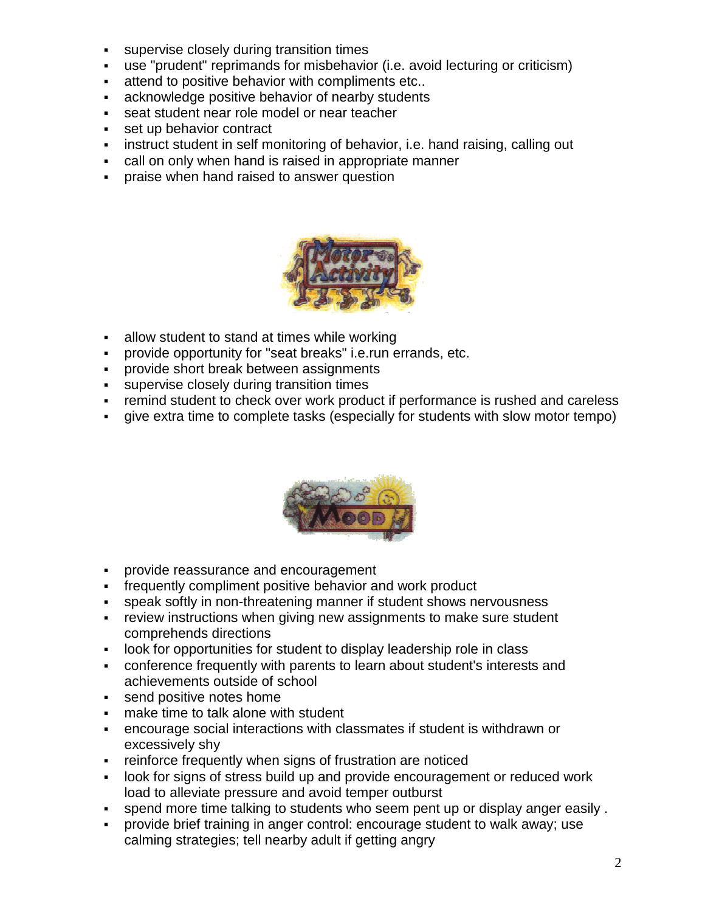- supervise closely during transition times
- use "prudent" reprimands for misbehavior (i.e. avoid lecturing or criticism)
- attend to positive behavior with compliments etc..
- acknowledge positive behavior of nearby students
- seat student near role model or near teacher
- set up behavior contract
- **EXED instruct student in self monitoring of behavior, i.e. hand raising, calling out**
- call on only when hand is raised in appropriate manner
- **praise when hand raised to answer question**



- allow student to stand at times while working
- provide opportunity for "seat breaks" i.e.run errands, etc.
- **Provide short break between assignments**
- supervise closely during transition times
- remind student to check over work product if performance is rushed and careless
- give extra time to complete tasks (especially for students with slow motor tempo)



- **provide reassurance and encouragement**
- frequently compliment positive behavior and work product
- speak softly in non-threatening manner if student shows nervousness
- **Fig. 2** review instructions when giving new assignments to make sure student comprehends directions
- look for opportunities for student to display leadership role in class
- conference frequently with parents to learn about student's interests and achievements outside of school
- **send positive notes home**
- **nake time to talk alone with student**
- encourage social interactions with classmates if student is withdrawn or excessively shy
- **Fig. 2** reinforce frequently when signs of frustration are noticed
- look for signs of stress build up and provide encouragement or reduced work load to alleviate pressure and avoid temper outburst
- spend more time talking to students who seem pent up or display anger easily .
- provide brief training in anger control: encourage student to walk away; use calming strategies; tell nearby adult if getting angry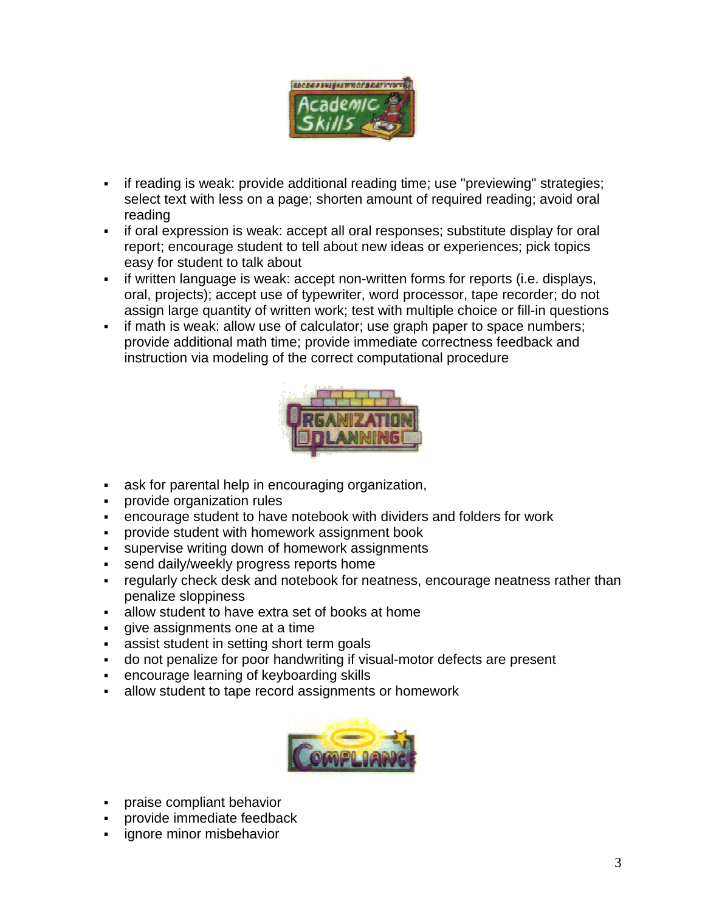

- if reading is weak: provide additional reading time; use "previewing" strategies; select text with less on a page; shorten amount of required reading; avoid oral reading
- if oral expression is weak: accept all oral responses; substitute display for oral report; encourage student to tell about new ideas or experiences; pick topics easy for student to talk about
- if written language is weak: accept non-written forms for reports (i.e. displays, oral, projects); accept use of typewriter, word processor, tape recorder; do not assign large quantity of written work; test with multiple choice or fill-in questions
- if math is weak: allow use of calculator; use graph paper to space numbers; provide additional math time; provide immediate correctness feedback and instruction via modeling of the correct computational procedure



- ask for parental help in encouraging organization,
- provide organization rules
- encourage student to have notebook with dividers and folders for work
- provide student with homework assignment book
- supervise writing down of homework assignments
- send daily/weekly progress reports home
- regularly check desk and notebook for neatness, encourage neatness rather than penalize sloppiness
- allow student to have extra set of books at home
- give assignments one at a time
- assist student in setting short term goals
- do not penalize for poor handwriting if visual-motor defects are present
- encourage learning of keyboarding skills
- allow student to tape record assignments or homework



- praise compliant behavior
- provide immediate feedback
- ignore minor misbehavior